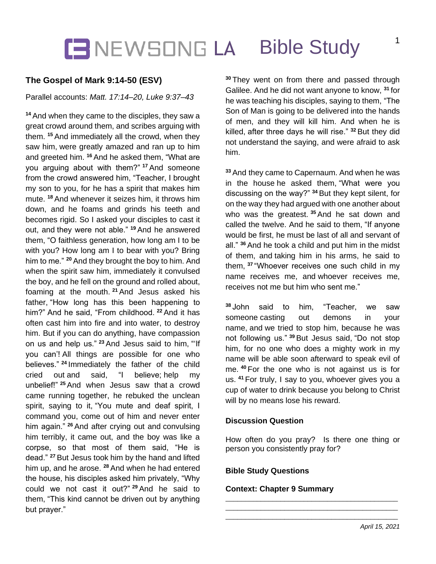## **CENEWSONG LA Bible Study**

### **The Gospel of Mark 9:14-50 (ESV)**

#### Parallel accounts: *Matt. 17:14–20, Luke 9:37–43*

**<sup>14</sup>** And when they came to the disciples, they saw a great crowd around them, and scribes arguing with them. **<sup>15</sup>** And immediately all the crowd, when they saw him, were greatly amazed and ran up to him and greeted him. **<sup>16</sup>** And he asked them, "What are you arguing about with them?" **<sup>17</sup>** And someone from the crowd answered him, "Teacher, I brought my son to you, for he has a spirit that makes him mute. **<sup>18</sup>** And whenever it seizes him, it throws him down, and he foams and grinds his teeth and becomes rigid. So I asked your disciples to cast it out, and they were not able." **<sup>19</sup>** And he answered them, "O faithless generation, how long am I to be with you? How long am I to bear with you? Bring him to me." **<sup>20</sup>** And they brought the boy to him. And when the spirit saw him, immediately it convulsed the boy, and he fell on the ground and rolled about, foaming at the mouth. **<sup>21</sup>** And Jesus asked his father, "How long has this been happening to him?" And he said, "From childhood. **<sup>22</sup>** And it has often cast him into fire and into water, to destroy him. But if you can do anything, have compassion on us and help us." **<sup>23</sup>** And Jesus said to him, "'If you can'! All things are possible for one who believes." **<sup>24</sup>** Immediately the father of the child cried out and said, "I believe; help my unbelief!" **<sup>25</sup>** And when Jesus saw that a crowd came running together, he rebuked the unclean spirit, saying to it, "You mute and deaf spirit, I command you, come out of him and never enter him again." **<sup>26</sup>** And after crying out and convulsing him terribly, it came out, and the boy was like a corpse, so that most of them said, "He is dead." **<sup>27</sup>** But Jesus took him by the hand and lifted him up, and he arose. **<sup>28</sup>** And when he had entered the house, his disciples asked him privately, "Why could we not cast it out?" **<sup>29</sup>** And he said to them, "This kind cannot be driven out by anything but prayer."

**<sup>30</sup>** They went on from there and passed through Galilee. And he did not want anyone to know, **<sup>31</sup>** for he was teaching his disciples, saying to them, "The Son of Man is going to be delivered into the hands of men, and they will kill him. And when he is killed, after three days he will rise." **<sup>32</sup>** But they did not understand the saying, and were afraid to ask him.

**<sup>33</sup>** And they came to Capernaum. And when he was in the house he asked them, "What were you discussing on the way?" **<sup>34</sup>** But they kept silent, for on the way they had argued with one another about who was the greatest. **<sup>35</sup>** And he sat down and called the twelve. And he said to them, "If anyone would be first, he must be last of all and servant of all." **<sup>36</sup>** And he took a child and put him in the midst of them, and taking him in his arms, he said to them, **<sup>37</sup>** "Whoever receives one such child in my name receives me, and whoever receives me, receives not me but him who sent me."

**<sup>38</sup>** John said to him, "Teacher, we saw someone casting out demons in your name, and we tried to stop him, because he was not following us." **<sup>39</sup>** But Jesus said, "Do not stop him, for no one who does a mighty work in my name will be able soon afterward to speak evil of me. **<sup>40</sup>** For the one who is not against us is for us. **<sup>41</sup>** For truly, I say to you, whoever gives you a cup of water to drink because you belong to Christ will by no means lose his reward.

#### **Discussion Question**

How often do you pray? Is there one thing or person you consistently pray for?

\_\_\_\_\_\_\_\_\_\_\_\_\_\_\_\_\_\_\_\_\_\_\_\_\_\_\_\_\_\_\_\_\_\_\_\_\_\_\_\_\_\_\_\_ \_\_\_\_\_\_\_\_\_\_\_\_\_\_\_\_\_\_\_\_\_\_\_\_\_\_\_\_\_\_\_\_\_\_\_\_\_\_\_\_\_\_\_\_ \_\_\_\_\_\_\_\_\_\_\_\_\_\_\_\_\_\_\_\_\_\_\_\_\_\_\_\_\_\_\_\_\_\_\_\_\_\_\_\_\_\_\_\_

#### **Bible Study Questions**

#### **Context: Chapter 9 Summary**

1